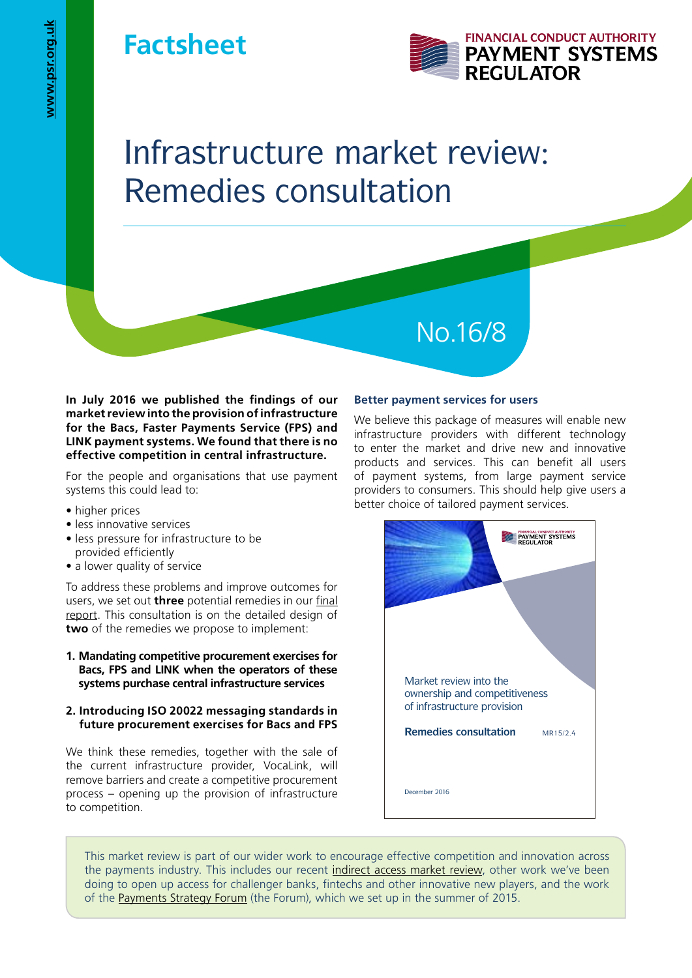# **Factsheet**



# Infrastructure market review: Remedies consultation

**In July 2016 we published the findings of our market review into the provision of infrastructure for the Bacs, Faster Payments Service (FPS) and LINK payment systems. We found that there is no effective competition in central infrastructure.**

For the people and organisations that use payment systems this could lead to:

- higher prices
- less innovative services
- less pressure for infrastructure to be provided efficiently
- a lower quality of service

To address these problems and improve outcomes for users, we set out **three** potential remedies in our [final](https://www.psr.org.uk/psr-publications/market-reviews/MR1523-final-report-infrastructure-provision)  [report.](https://www.psr.org.uk/psr-publications/market-reviews/MR1523-final-report-infrastructure-provision) This consultation is on the detailed design of **two** of the remedies we propose to implement:

**1. Mandating competitive procurement exercises for Bacs, FPS and LINK when the operators of these systems purchase central infrastructure services** 

# **2. Introducing ISO 20022 messaging standards in future procurement exercises for Bacs and FPS**

We think these remedies, together with the sale of the current infrastructure provider, VocaLink, will remove barriers and create a competitive procurement process – opening up the provision of infrastructure to competition.

# **Better payment services for users**

No.16/8

We believe this package of measures will enable new infrastructure providers with different technology to enter the market and drive new and innovative products and services. This can benefit all users of payment systems, from large payment service providers to consumers. This should help give users a better choice of tailored payment services.



This market review is part of our wider work to encourage effective competition and innovation across the payments industry. This includes our recent [indirect access market review,](http://www.psr.org.uk/psr-publications/market-reviews/MR1513-final-report-supply-of-indirect-access-payment-systems) other work we've been doing to open up access for challenger banks, fintechs and other innovative new players, and the work of the [Payments Strategy Forum](https://paymentsforum.uk/) (the Forum), which we set up in the summer of 2015.